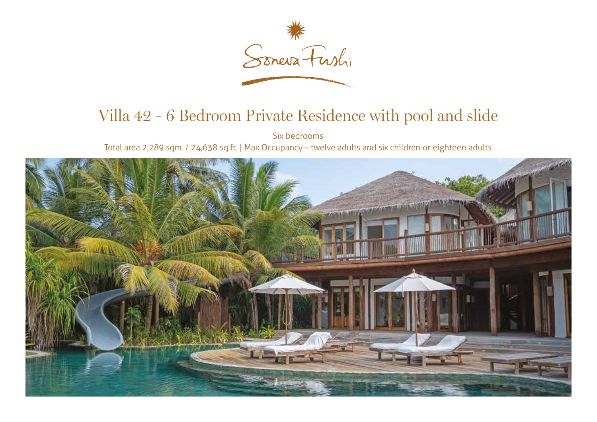

## Villa 42 - 6 Bedroom Private Residence with pool and slide

Six bedrooms

Total area 2,289 sqm. / 24,638 sq.ft. | Max Occupancy – twelve adults and six children or eighteen adults

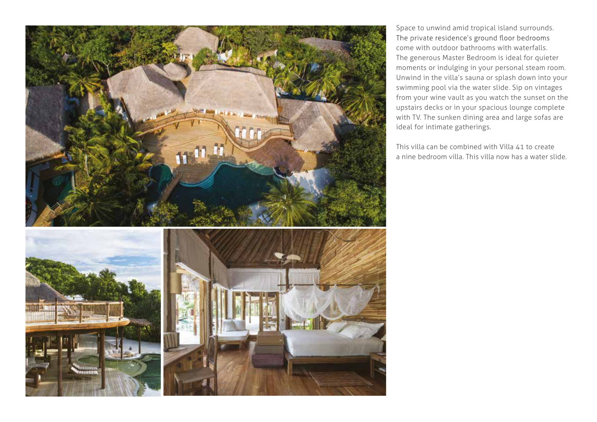

Space to unwind amid tropical island surrounds. The private residence's ground floor bedrooms come with outdoor bathrooms with waterfalls. The generous Master Bedroom is ideal for quieter moments or indulging in your personal steam room. Unwind in the villa's sauna or splash down into your swimming pool via the water slide. Sip on vintages from your wine vault as you watch the sunset on the upstairs decks or in your spacious lounge complete with TV. The sunken dining area and large sofas are ideal for intimate gatherings.

This villa can be combined with Villa 41 to create a nine bedroom villa. This villa now has a water slide.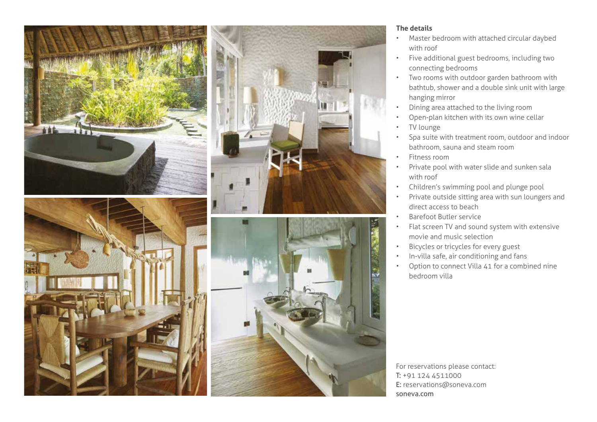







## **The details**

- Master bedroom with attached circular daybed with roof
- Five additional guest bedrooms, including two connecting bedrooms
- Two rooms with outdoor garden bathroom with bathtub, shower and a double sink unit with large hanging mirror
- Dining area attached to the living room
- Open-plan kitchen with its own wine cellar
- TV lounge
- Spa suite with treatment room, outdoor and indoor bathroom, sauna and steam room
- Fitness room
- Private pool with water slide and sunken sala with roof
- Children's swimming pool and plunge pool
- Private outside sitting area with sun loungers and direct access to beach
- Barefoot Butler service
- Flat screen TV and sound system with extensive movie and music selection
- Bicycles or tricycles for every guest
- In-villa safe, air conditioning and fans
- Option to connect Villa 41 for a combined nine bedroom villa

For reservations please contact: T: +91 124 4511000 E: reservations@soneva.com soneva.com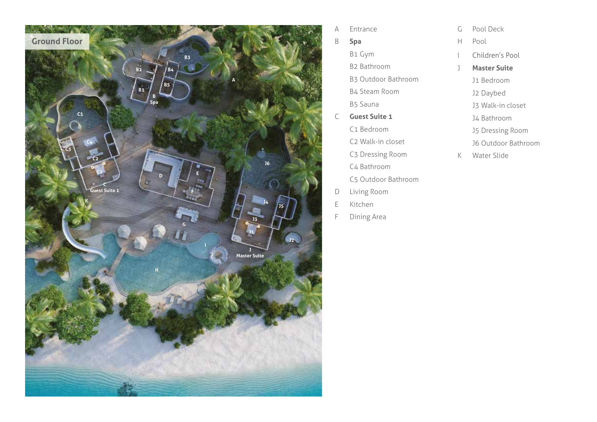

- A Ent ran c e
- B **Spa**
	- B1 Gym
	- B2 Bath room
	- B3 Outdoor Bath room
	- B4 Steam Room
	- B5 Sauna
- C **Guest Suite 1**
	- C1 Bed room
	- C2 Walk-in closet
	- C3 D r e ssing Room
	- C4 Bath room
	- C5 Outdoor Bath room
- D Living Room
- E Kitchen
- F Dining A rea
- G Pool Deck
- H Pool
- I Children's Pool
- J **Master Suite**
	- J1 Bed room
	- J2 Daybed
	- J3 Walk-in closet
	- J4 Bath room
	- J5 D r e ssing Room
	- J6 Outdoor Bath room
- K Water Slide